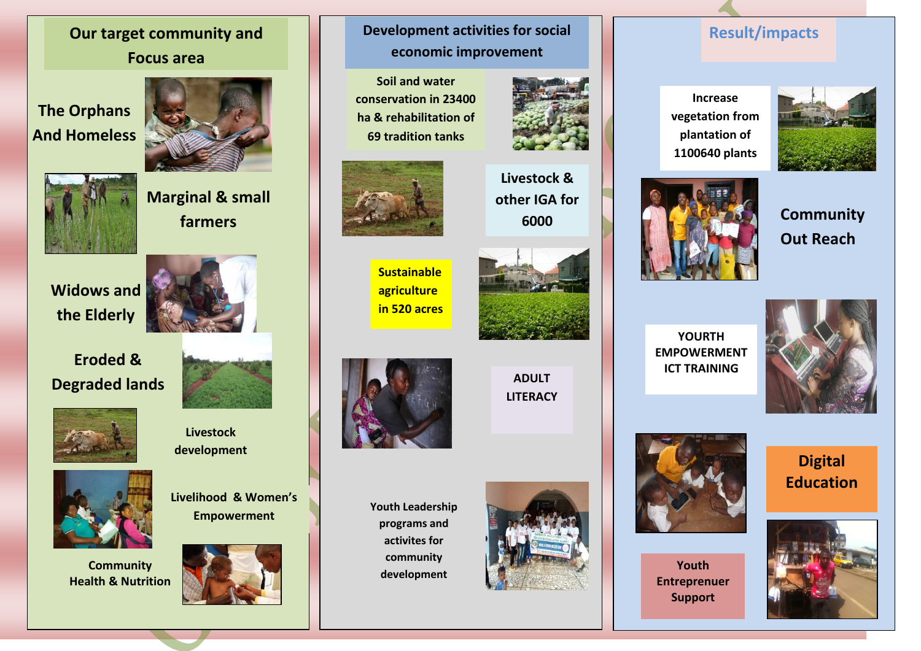## **Our target community and Focus area**

# **The Orphans And Homeless**



**Marginal & small farmers**





**Eroded & Degraded lands**





**Livestock development**



**Community Health & Nutrition**



**Livelihood & Women's** 

### **Development activities for social economic improvement**

**Soil and water conservation in 23400 ha & rehabilitation of 69 tradition tanks**





**Sustainable agriculture in 520 acres**



**6000**



**ADULT LITERACY**

**Youth Leadership programs and activites for community development**



### **Result/impacts**

**Increase vegetation from plantation of 1100640 plants**







**YOURTH EMPOWERMENT ICT TRAINING**





**Youth Entreprenuer Support**

**Digital Education**